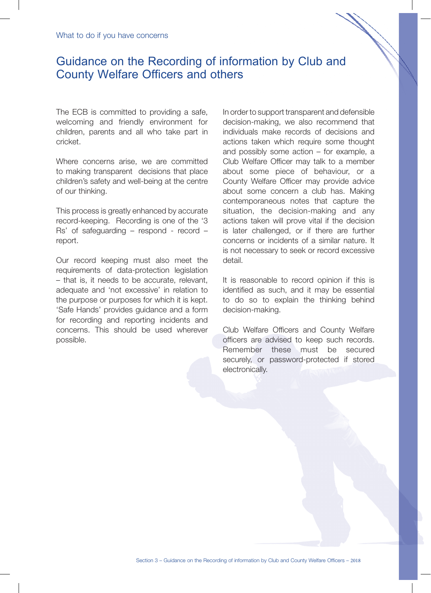## Guidance on the Recording of information by Club and County Welfare Officers and others

The ECB is committed to providing a safe, welcoming and friendly environment for children, parents and all who take part in cricket.

Where concerns arise, we are committed to making transparent decisions that place children's safety and well-being at the centre of our thinking.

This process is greatly enhanced by accurate record-keeping. Recording is one of the '3 Rs' of safeguarding – respond - record – report.

Our record keeping must also meet the requirements of data-protection legislation – that is, it needs to be accurate, relevant, adequate and 'not excessive' in relation to the purpose or purposes for which it is kept. 'Safe Hands' provides guidance and a form for recording and reporting incidents and concerns. This should be used wherever possible.

In order to support transparent and defensible decision-making, we also recommend that individuals make records of decisions and actions taken which require some thought and possibly some action – for example, a Club Welfare Officer may talk to a member about some piece of behaviour, or a County Welfare Officer may provide advice about some concern a club has. Making contemporaneous notes that capture the situation, the decision-making and any actions taken will prove vital if the decision is later challenged, or if there are further concerns or incidents of a similar nature. It is not necessary to seek or record excessive detail.

It is reasonable to record opinion if this is identified as such, and it may be essential to do so to explain the thinking behind decision-making.

Club Welfare Officers and County Welfare officers are advised to keep such records. Remember these must be secured securely, or password-protected if stored electronically.